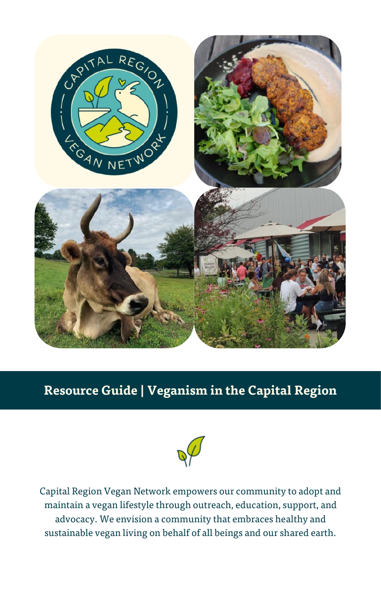

# **Resource Guide | Veganism in the Capital Region**



Capital Region Vegan Network empowers our community to adopt and maintain a vegan lifestyle through outreach, education, support, and advocacy. We envision a community that embraces healthy and sustainable vegan living on behalf of all beings and our shared earth.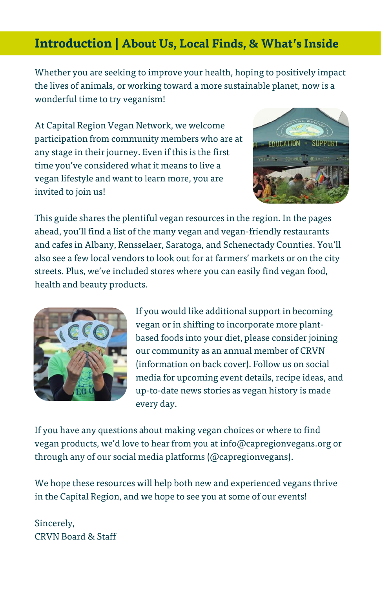## **Introduction | About Us, Local Finds, & What's Inside**

Whether you are seeking to improve your health, hoping to positively impact the lives of animals, or working toward a more sustainable planet, now is a wonderful time to try veganism!

At Capital Region Vegan Network, we welcome participation from community members who are at any stage in their journey. Even if this is the first time you've considered what it means to live a vegan lifestyle and want to learn more, you are invited to join us!



This guide shares the plentiful vegan resources in the region. In the pages ahead, you'll find a list of the many vegan and vegan-friendly restaurants and cafes in Albany, Rensselaer, Saratoga, and Schenectady Counties. You'll also see a few local vendors to look out for at farmers' markets or on the city streets. Plus, we've included stores where you can easily find vegan food, health and beauty products.



If you would like additional support in becoming vegan or in shifting to incorporate more plantbased foods into your diet, please consider joining our community as an annual member of CRVN (information on back cover). Follow us on social media for upcoming event details, recipe ideas, and up-to-date news stories as vegan history is made every day.

If you have any questions about making vegan choices or where to find vegan products, we'd love to hear from you at info@capregionvegans.org or through any of our social media platforms (@capregionvegans).

We hope these resources will help both new and experienced vegans thrive in the Capital Region, and we hope to see you at some of our events!

Sincerely, CRVN Board & Staff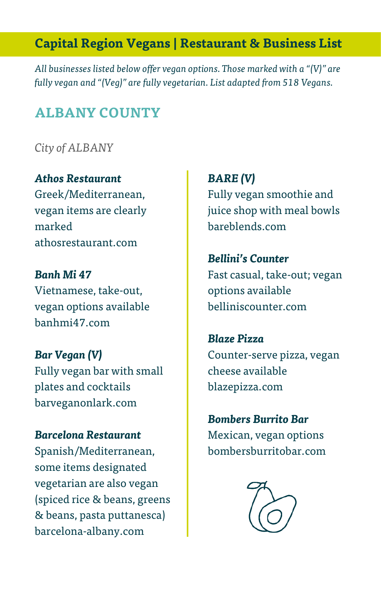# **Capital Region Vegans | Restaurant & Business List**

*All businesses listed below offer vegan options. Those marked with a "(V)" are fully vegan and "(Veg)" are fully vegetarian. List adapted from 518 Vegans.* 

## **ALBANY COUNTY**

*City of ALBANY*

*Athos Restaurant* Greek/Mediterranean, vegan items are clearly marked athosrestaurant.com

*Banh Mi 47* Vietnamese, take-out, vegan options available banhmi47.com

*Bar Vegan (V)* Fully vegan bar with small plates and cocktails barveganonlark.com

*Barcelona Restaurant* Spanish/Mediterranean, some items designated vegetarian are also vegan (spiced rice & beans, greens & beans, pasta puttanesca) barcelona-albany.com

*BARE (V)* Fully vegan smoothie and juice shop with meal bowls bareblends.com

## *Bellini's Counter*

Fast casual, take-out; vegan options available belliniscounter.com

*Blaze Pizza* Counter-serve pizza, vegan cheese available blazepizza.com

*Bombers Burrito Bar* Mexican, vegan options bombersburritobar.com

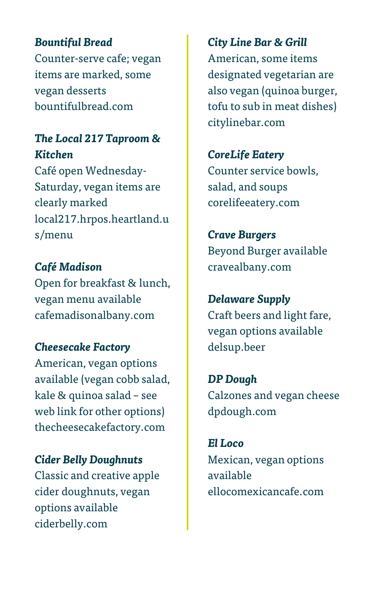## *Bountiful Bread*

Counter-serve cafe; vegan items are marked, some vegan desserts bountifulbread.com

## *The Local 217 Taproom & Kitchen*

Café open Wednesday-Saturday, vegan items are clearly marked local217.hrpos.heartland.u s/menu

*Café Madison* Open for breakfast & lunch, vegan menu available cafemadisonalbany.com

#### *Cheesecake Factory*

American, vegan options available (vegan cobb salad, kale & quinoa salad – see web link for other options) thecheesecakefactory.com

*Cider Belly Doughnuts*

Classic and creative apple cider doughnuts, vegan options available ciderbelly.com

*City Line Bar & Grill*

American, some items designated vegetarian are also vegan (quinoa burger, tofu to sub in meat dishes) citylinebar.com

#### *CoreLife Eatery*

Counter service bowls, salad, and soups [co](https://l.facebook.com/l.php?u=https%3A%2F%2Fcravealbany.com%2F%3Ffbclid%3DIwAR0RIzlOcKke-tm7MqZX2e73VuVaMldRuTw5D_s1xHZOhLwvNlRtBl9PmRc&h=AT3QnlXNAg8TTejuMevSwU31ZoGSS4b3FXWgUsjV2k9ye8M7ssTpWXrCjxtE8ou8x6m4CyEI7dejI-C27fplo26UmxosM3vwCYgkxNQKJIbIvUJn2jXobmDuNsb580gaWrIUUbJsNWkStpMLQ75-U9g)relifeeatery.com

*Crave Burgers* Beyond Burger available cravealbany.com

*Delaware Supply* Craft beers and light fare, vegan options available delsup.beer

*DP Dough* Calzones and vegan cheese dpdough.com

*El Loco* Mexican, vegan options available ellocomexicancafe.com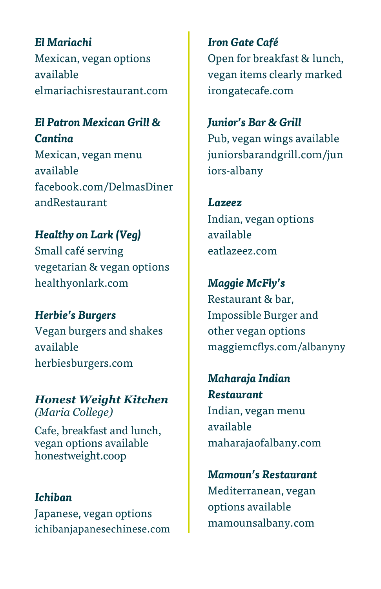*El Mariachi* Mexican, vegan options available elmariachisrestaurant.com

## *El Patron Mexican Grill & Cantina*

Mexican, vegan menu available facebook.com/DelmasDiner andRestaurant

### *Healthy on Lark (Veg)*

Small café serving vegetarian & vegan options healthyonlark.com

*Herbie's Burgers* Vegan burgers and shakes available herbiesburgers.com

*Honest Weight Kitchen (Maria College)*

Cafe, breakfast and lunch, vegan options available honestweight.coop

#### *Ichiban*

Japanese, vegan options ichibanjapanesechinese.com

*Iron Gate Café* Open for breakfast & lunch, vegan items clearly marked irongatecafe.com

## *Junior's Bar & Grill* Pub, vegan wings available juniorsbarandgrill.com/jun iors-albany

*Lazeez* Indian, vegan options available eatlazeez.com

*Maggie McFly's* Restaurant & bar, Impossible Burger and other vegan options maggiemcflys.com/albanyny

*Maharaja Indian Restaurant* Indian, vegan menu available maharajaofalbany.com

*Mamoun's Restaurant* Mediterranean, vegan options available mamounsalbany.com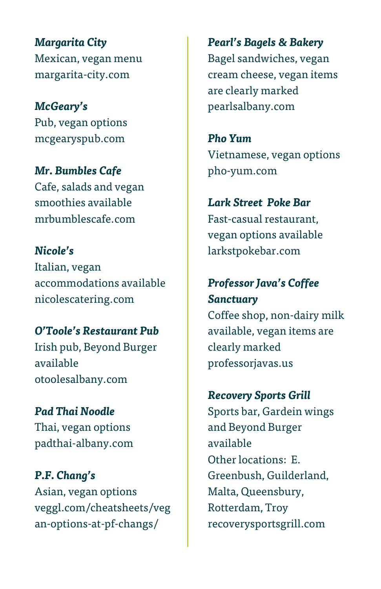*Margarita City* Mexican, vegan menu margarita-city.com

*McGeary's* Pub, vegan options mcgearyspub.com

*Mr. Bumbles Cafe* Cafe, salads and vegan smoothies available mrbumblescafe.com

*Nicole's* Italian, vegan accommodations available nicolescatering.com

*O'Toole's Restaurant Pub* Irish pub, Beyond Burger available otoolesalbany.com

*Pad Thai Noodle* Thai, vegan options padthai-albany.com

*P.F. Chang's* Asian, vegan options veggl.com/cheatsheets/veg an-options-at-pf-changs/

*Pearl's Bagels & Bakery* Bagel sandwiches, vegan cream cheese, vegan items are clearly marked pearlsalbany.com

*Pho Yum* Vietnamese, vegan options pho-yum.com

*Lark Street Poke Bar* Fast-casual restaurant, vegan options available larkstpokebar.com

# *Professor Java's Coffee Sanctuary* Coffee shop, non-dairy milk available, vegan items are

clearly marked professorjavas.us

*Recovery Sports Grill*

Sports bar, Gardein wings and Beyond Burger available Other locations: E. Greenbush, Guilderland, Malta, Queensbury, Rotterdam, Troy recoverysportsgrill.com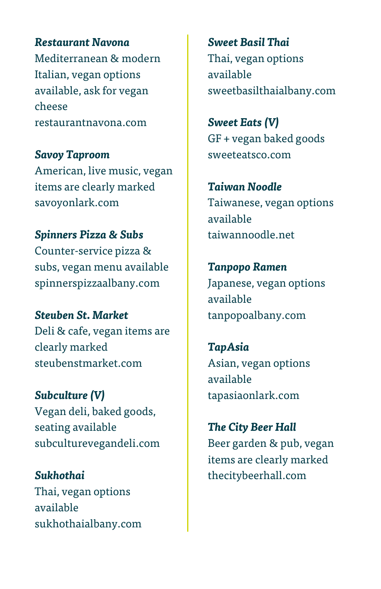*Restaurant Navona* Mediterranean & modern Italian, vegan options available, ask for vegan cheese restaurantnavona.com

*Savoy Taproom* American, live music, vegan items are clearly marked savoyonlark.com

# *Spinners Pizza & Subs* Counter-service pizza & subs, vegan menu available

spinnerspizzaalbany.com

*Steuben St. Market* Deli & cafe, vegan items are clearly marked steubenstmarket.com

*Subculture (V)* Vegan deli, baked goods, seating available subculturevegandeli.com

*Sukhothai* Thai, vegan options available sukhothaialbany.com

*Sweet Basil Thai* Thai, vegan options available sweetbasilthaialbany.com

*Sweet Eats (V)* GF + vegan baked goods sweeteatsco.com

*Taiwan Noodle* Taiwanese, vegan options available taiwannoodle.net

*Tanpopo Ramen* Japanese, vegan options available tanpopoalbany.com

*TapAsia* Asian, vegan options available tapasiaonlark.com

*The City Beer Hall* Beer garden & pub, vegan items are clearly marked thecitybeerhall.com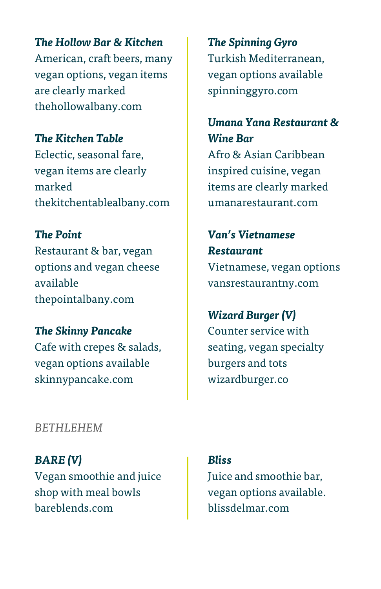*The Hollow Bar & Kitchen* American, craft beers, many vegan options, vegan items are clearly marked thehollowalbany.com

*The Kitchen Table* Eclectic, seasonal fare, vegan items are clearly marked thekitchentablealbany.com

*The Point* Restaurant & bar, vegan options and vegan cheese available thepointalbany.com

*The Skinny Pancake* Cafe with crepes & salads, vegan options available skinnypancake.com

*The Spinning Gyro* Turkish Mediterranean, vegan options available spinninggyro.com

*Umana Yana Restaurant & Wine Bar*

Afro & Asian Caribbean inspired cuisine, vegan items are clearly marked umanarestaurant.com

*Van's Vietnamese Restaurant* Vietnamese, vegan options vansrestaurantny.com

*Wizard Burger (V)* Counter service with seating, vegan specialty burgers and tots wizardburger.co

#### *BETHLEHEM*

*BARE (V)* Vegan smoothie and juice shop with meal bowls bareblends.com

Juice and smoothie bar, vegan options available.

blissdelmar.com

*Bliss*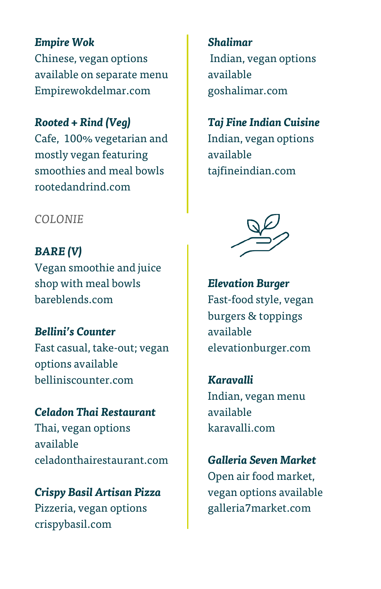*Empire Wok* Chinese, vegan options available on separate menu Empirewokdelmar.com

#### *Rooted + Rind (Veg)*

Cafe, 100% vegetarian and mostly vegan featuring smoothies and meal bowls rootedandrind.com

#### *COLONIE*

*BARE (V)* Vegan smoothie and juice shop with meal bowls bareblends.com

*Bellini's Counter* Fast casual, take-out; vegan options available belliniscounter.com

*Celadon Thai Restaurant* Thai, vegan options available celadonthairestaurant.com

*Crispy Basil Artisan Pizza* Pizzeria, vegan options crispybasil.com

*Shalimar* Indian, vegan options available goshalimar.com

# *Taj Fine Indian Cuisine* Indian, vegan options available

tajfineindian.com



*Elevation Burger* Fast-food style, vegan burgers & toppings available elevationburger.com

*Karavalli* Indian, vegan menu available karavalli.com

*Galleria Seven Market* Open air food market, vegan options available galleria7market.com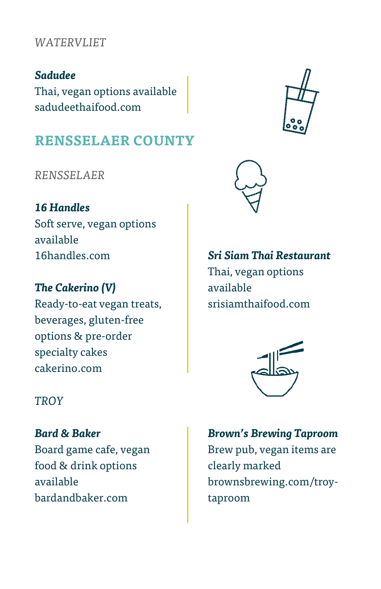#### *WATERVLIET*

*Sadudee* Thai, vegan options available sadudeethaifood.com

# **RENSSELAER COUNTY**

*RENSSELAER*

*16 Handles* Soft serve, vegan options available 16handles.com

*The Cakerino (V)* Ready-to-eat vegan treats, beverages, gluten-free options & pre-order specialty cakes cakerino.com

*Sri Siam Thai Restaurant* Thai, vegan options available srisiamthaifood.com



*TROY*

*Bard & Baker* Board game cafe, vegan food & drink options available [ba](https://l.facebook.com/l.php?u=https%3A%2F%2Fbrownsbrewing.com%2Ftroy-taproom%3Ffbclid%3DIwAR21SpktLCPNGUUvnmve4csgyGcfJJYiVuS4cQyh_FZ5yF0nPwExBgeGVn8&h=AT1R7r1lUgjQ8M9-qOblL7LUviQ-bIjmsxKXZlblrqLgkYvMDF12uqW8dB8tyyOAdOZXesjQoTNM0Nib6gCXdf5Q_hX9aMNDi4epVfHYTNvTpi6RH_QpGfirLbVdR1hBjWnbMd94KyNERIphFe5Ejvk)rdandbaker.com

*Brown's Brewing Taproom* Brew pub, vegan items are clearly marked brownsbrewing.com/troytaproom

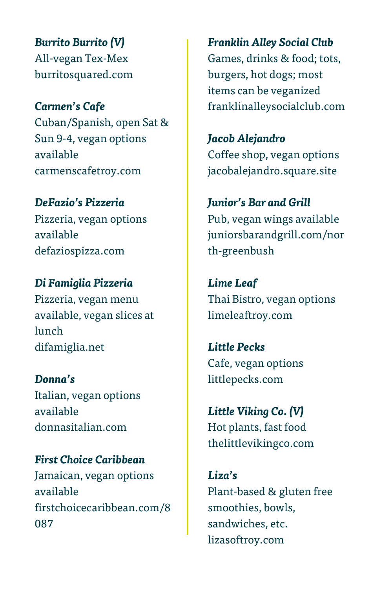*Burrito Burrito (V)* All-vegan Tex-Mex burritosquared.com

*Carmen's Cafe* Cuban/Spanish, open Sat & Sun 9-4, vegan options available carmenscafetroy.com

*DeFazio's Pizzeria* Pizzeria, vegan options available defaziospizza.com

*Di Famiglia Pizzeria* Pizzeria, vegan menu available, vegan slices at lunch difamiglia.net

*Donna's* Italian, vegan options available donnasitalian.com

*First Choice Caribbean* Jamaican, vegan options available firstchoicecaribbean.com/8 087

*Franklin Alley Social Club* Games, drinks & food; tots, burgers, hot dogs; most items can be veganized franklinalleysocialclub.com

*Jacob Alejandro*  Coffee shop, vegan options jacobalejandro.square.site

*Junior's Bar and Grill* Pub, vegan wings available [juniorsbarandgrill.com/nor](https://l.facebook.com/l.php?u=http%3A%2F%2Fwww.juniorsbarandgrill.com%2Fnorth-greenbush%3Ffbclid%3DIwAR3eD5GtPzCZezF7bPP2I7FQz1UepxjPuOSy3aqVyerQoYYf7yABqj2LzDE&h=AT31rNJfkRUv9PTXS9q_r1GYJM0JqgvTUXqcsGI9CB3BS92N-zgRwLei9nm8mUt0QjODDaVvS2FjVLTDP7_KqwCclquXAMX5eSh56ym9U45O_QhGKENT0FAThovtSYR6YcFTyxyiJZa4bjAritMpbdk) [th-greenbush](https://l.facebook.com/l.php?u=http%3A%2F%2Fwww.juniorsbarandgrill.com%2Fnorth-greenbush%3Ffbclid%3DIwAR3eD5GtPzCZezF7bPP2I7FQz1UepxjPuOSy3aqVyerQoYYf7yABqj2LzDE&h=AT31rNJfkRUv9PTXS9q_r1GYJM0JqgvTUXqcsGI9CB3BS92N-zgRwLei9nm8mUt0QjODDaVvS2FjVLTDP7_KqwCclquXAMX5eSh56ym9U45O_QhGKENT0FAThovtSYR6YcFTyxyiJZa4bjAritMpbdk)

*Lime Leaf*  Thai Bistro, vegan options limeleaftroy.com

*Little Pecks* Cafe, vegan options [littlepecks.com](https://l.facebook.com/l.php?u=http%3A%2F%2Fwww.littlepecks.com%2F%3Ffbclid%3DIwAR2RWH9YWx9vcgXxmxMZbcnFVNx2Wi6bXkkYIHjueyMdF2CxLNe5n1TuFjQ&h=AT2x15lGn7Oo8-9S3BLkXUPpWI2eMhFZepNFeAuL5N4d3jjsNx-q7QDEzoSvL-3NQR6Dun0d00FVfHA_aDveliiu_ktZRgzKpdlttC4nvx3qFhzKq236AGYMsZrQSmu9XSZIH4dOxo6ULM8pEygOMKU)

*Little Viking Co. (V)* Hot plants, fast food thelittlevikingco.com

*Liza's* Plant-based & gluten free smoothies, bowls, sandwiches, etc. [lizasoftroy.com](http://lizasoftroy.com/)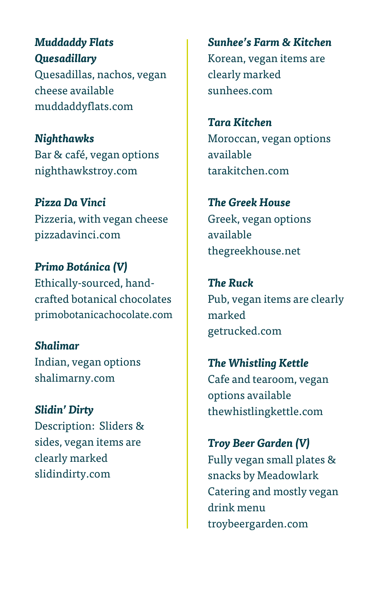*Muddaddy Flats Quesadillary* Quesadillas, nachos, vegan cheese available [muddaddyflats.com](https://muddaddyflats.com/)

*Nighthawks* Bar & café, vegan options [nighthawkstroy.](https://facebook.com/nighthawkstroy)com

*Pizza Da Vinci* Pizzeria, with vegan cheese [pizzadavinci.com](https://l.facebook.com/l.php?u=http%3A%2F%2Fwww.thepizzadavinci.com%2F%3Ffbclid%3DIwAR3PxKTdHGv0fPgR-fImTglbSf-zYd5XW-zotJn0ClUIDY-uyOWBhzac2bo&h=AT20panC06ut_qzyUGfZojvnbvJPsk-_qMK4mnbYKqibB6_Ebt7mbMWt-vop675TM3SzYrK04AtFrhMQLYHg2VH93E4LC_5sFoL1H7Ka1c6vgJP7sVyCu-uqvUCqngtNK20Y2LS0C13vmZVtVBft_rI)

*Primo Botánica (V)* Ethically-sourced, handcrafted botanical chocolates primobotanicachocolate.com

*Shalimar* Indian, vegan options [shalimarny.com](https://l.facebook.com/l.php?u=http%3A%2F%2Fwww.shalimarny.com%2F%3Ffbclid%3DIwAR3d8Akfq3RNKolyUmDb3IwOjX9K5J4Os9bDvhkiS9b5Vz-T-7mjob-tYrA&h=AT0iNHFnB1j1dDIkyEMHCOxkVJOjHEdp4lyF526aUC1oM7HMZHvWMgkZFqS00baUCcU1wpF4J3SpErTpHuoQObbbIdHMpFtEqA3VXaELCX38XPcvDu6U5FU--2KZiiimpCBVpjHSKtA41nY3gIvIQM8)

*Slidin' Dirty* Description: Sliders & sides, vegan items are clearly marked [slidindirty.com](https://l.facebook.com/l.php?u=http%3A%2F%2Fslidindirty.com%2F%3Ffbclid%3DIwAR2Q8EPd0YWBh9fhlusi5KuSqbmCN6kA-VJiKcgOLT6SQBvQMo6Q4sPJzds&h=AT0d410SYqewoNbQ99LkvMP1u6aCeT688Gr0X-n6J74K4j5KLu2LYDGhLKwCsEpAOyfjIsb3S7Rt-mT2DmZDMfmVGPy6OcKe_rP6Cb2OuJEj-A9d5ZyefEwZGMfdFbsQzbpHKGuPtyQ7RlqQkf_Q7843cWmqw_b-lum7)

*Sunhee's Farm & Kitchen* Korean, vegan items are clearly marked [sunhees.com](https://www.sunhees.com/?fbclid=IwAR3YVJymPKrHWzQ8qBem7mv0px2hXb4bFOBb7RwYPJhBOUdZLAjogoOjek8)

*Tara Kitchen* Moroccan, vegan options available [tarakitchen.com](https://l.facebook.com/l.php?u=http%3A%2F%2Fwww.tarakitchen.com%2F%3Ffbclid%3DIwAR2ZUSfe4JbthJWulqLsztvWSGmSRG38NHj1kFnvdwdkxchqFuP78hJxOz8&h=AT3J1h4yA-SRbaOBz6cOtj_Ipvkl8ARwek5sTIWG836W8cAf-h9rZ2oLsDQn6igowYoBBeefJGMRSNrQ_H23kmxbPT83ab2nTfthypEj0SJ0GFGEhP2BakxJXEeAebiupMf0gO7tNUIyJhob7ypKgDQ)

*The Greek House* Greek, vegan options available [thegreekhouse.net](https://l.facebook.com/l.php?u=http%3A%2F%2Fwww.thegreekhouse.net%2F%3Ffbclid%3DIwAR0k6e7rQC0Mbu-rG8Xre2YOU34boLF84BfJyAb6RtZMnYiWn4AbTDFau98&h=AT3kxvkbRvZo3LLdZOfhlGiOy13bjXLK5SNM-uh8aFXG4SHJ3Yz_q8SwzAkUELrVEKdDq8FB-TyZxA-9WpjDRmaNg0Va3qCbcxYt_w2DEQkXMISjkWbFAoMmO-OObbdn8_oCNueF5W6oR-3YyqjLwp4)

*The Ruck* Pub, vegan items are clearly marked [getrucked.com](https://l.facebook.com/l.php?u=https%3A%2F%2Fwww.getrucked.com%2F%3Ffbclid%3DIwAR3oukp6M1sCSL3JE5DHnqjID6GDRtiwZwuh8dkPZTwnpLNP6JJO1zT1sFU&h=AT0UI8LXCE_u9qF8llQz1pLHuYTHrJ-MzfHf-QrmzZbzSbA8eh47CEQYtPhloQ_EQmjj-5GKV3tf1RK8DL0E3-p1AWndjB-jmIn1IrSs0-OWsyustEGqDmymnolzpBZRo3SiJRnlMAe1-Gka-3RtDhE)

*The Whistling Kettle* Cafe and tearoom, vegan options available [thewhistlingkettle.com](https://l.facebook.com/l.php?u=https%3A%2F%2Fwww.getrucked.com%2F%3Ffbclid%3DIwAR3oukp6M1sCSL3JE5DHnqjID6GDRtiwZwuh8dkPZTwnpLNP6JJO1zT1sFU&h=AT0UI8LXCE_u9qF8llQz1pLHuYTHrJ-MzfHf-QrmzZbzSbA8eh47CEQYtPhloQ_EQmjj-5GKV3tf1RK8DL0E3-p1AWndjB-jmIn1IrSs0-OWsyustEGqDmymnolzpBZRo3SiJRnlMAe1-Gka-3RtDhE)

*Troy Beer Garden (V)* Fully vegan small plates & snacks by Meadowlark Catering and mostly vegan drink menu troybeergarden.com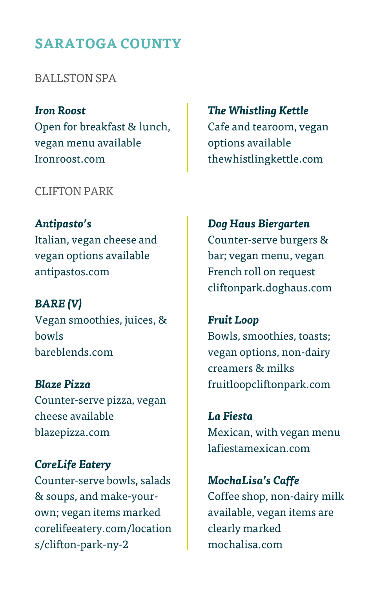## **SARATOGA COUNTY**

BALLSTON SPA

*Iron Roost* Open for breakfast & lunch, vegan menu available [Ironroost.com](https://l.facebook.com/l.php?u=https%3A%2F%2Fwww.ironroost.com%2F%3Ffbclid%3DIwAR0BF2irazhkKD261dJDmyyn05BrXWBH-RnJdEFUCMI-t_HdFqitrBq3BQY&h=AT0_-ioON5rAj9r0_f-8fQ296JVrN09QesaI2cCkhI2wSyZ9U7S9iI_65VROnpmitmqKq5siveOBiZx7KyNDkBc_VBMvnSYKsry68kwgUdKmTmJbcWbXaE4cQkfuzHv8NQzkRC0M90qzHpbNeR8YhIs)

#### CLIFTON PARK

*Antipasto's* Italian, vegan cheese and vegan options available [antipastos.com](https://l.facebook.com/l.php?u=http%3A%2F%2Fwww.antipastos.com%2F%3Ffbclid%3DIwAR25zQxoFNWVS7WBkY7NlPHmE7oKlofVFuaNPQ4ZuUQzgArly90YFq9tAxs&h=AT3Rlpnv8lRbDDTw6BkS3fyB77vGN9Mbao4GcdnYGBmvCUPvJTGS99mYMiDQDcIXiH43-vmDQFZGTAExj2ZCqKU68CVTJ-Vd4d-Ch2ftsZ4cLo25RaebgHLJdofkr8OC1x3c8euRN7XF6GxLmvTmQoE)

*BARE (V)* Vegan smoothies, juices, & bowls [bareblends.com](https://bareblends.com/)

*Blaze Pizza* Counter-serve pizza, vegan cheese available [blazepizza.com](https://l.facebook.com/l.php?u=http%3A%2F%2Fwww.blazepizza.com%2F%3Ffbclid%3DIwAR11zuRR1R3egqXeCERuicbj3aE1OLvMWJfK3HD14RJ-jX_VgA2TFLKLqhI&h=AT0QAQ9JtOmZ2VHeEz1_NgTBNHxZQ-Fwif-HtFh0BVFUVq1Qm5b1rW1Jt3fROxl6yoEQLdo_9FgZwEBDNf_dkUVEZVqQMuo5g6fyv9vcvAB5ByD9TXkgfOIbHxedUqn74qHDvDLKvPIUSEIux248QUc)

*CoreLife Eatery* Counter-serve bowls, salads & soups, and make-yourown; vegan items marked [corelifeeatery.com/location](https://l.facebook.com/l.php?u=https%3A%2F%2Fcorelifeeatery.com%2Flocations%2Fclifton-park-ny-2%3Ffbclid%3DIwAR2oCSW0dBpn8V3eBvJsGYnb30REao4rOUhMG3QmhC1yBsuT_WxsCsg6zGo&h=AT0JH7fOyFqzp3RQ4ZF3amsJFqdaxqy2cxaZvk-2scDYGbUzZ3GRTDD5W_oI2ga7KQR8SrIv06WtmO3x4oNgfDykfoJ1Vtuw-0Gh1AJdeJOCOMYMiC1GVfVxtT5AWzXYsc6jcz46HM91p_tbon79TVI) [s/clifton-park-ny-2](https://l.facebook.com/l.php?u=https%3A%2F%2Fcorelifeeatery.com%2Flocations%2Fclifton-park-ny-2%3Ffbclid%3DIwAR2oCSW0dBpn8V3eBvJsGYnb30REao4rOUhMG3QmhC1yBsuT_WxsCsg6zGo&h=AT0JH7fOyFqzp3RQ4ZF3amsJFqdaxqy2cxaZvk-2scDYGbUzZ3GRTDD5W_oI2ga7KQR8SrIv06WtmO3x4oNgfDykfoJ1Vtuw-0Gh1AJdeJOCOMYMiC1GVfVxtT5AWzXYsc6jcz46HM91p_tbon79TVI)

*The Whistling Kettle* Cafe and tearoom, vegan options available [thewhistlingkettle.com](https://l.facebook.com/l.php?u=https%3A%2F%2Fwww.getrucked.com%2F%3Ffbclid%3DIwAR3oukp6M1sCSL3JE5DHnqjID6GDRtiwZwuh8dkPZTwnpLNP6JJO1zT1sFU&h=AT0UI8LXCE_u9qF8llQz1pLHuYTHrJ-MzfHf-QrmzZbzSbA8eh47CEQYtPhloQ_EQmjj-5GKV3tf1RK8DL0E3-p1AWndjB-jmIn1IrSs0-OWsyustEGqDmymnolzpBZRo3SiJRnlMAe1-Gka-3RtDhE)

*Dog Haus Biergarten* Counter-serve burgers & bar; vegan menu, vegan French roll on request [cliftonpark.doghaus.com](https://l.facebook.com/l.php?u=https%3A%2F%2Fcliftonpark.doghaus.com%2F%3Ffbclid%3DIwAR18evZCnILxDT0qZak-apg_HMZYuSyKeq_flgqRRIoxGQ0Q9YCBS7YnaKI&h=AT0IkXT82N2a8fwmt0bPr2NhxNY94BPpYVUtcFmsmUqEChB4H0mD1mA3LxzO3_NN6pVGax4tS6bH6CY6vvo4ozrqFHYcznsXIYg9CMvSNuQEadGGCOx-oi74KVjHL5hVHS6cQrui9LtGkFOLy40Qm5c)

*Fruit Loop* Bowls, smoothies, toasts; vegan options, non-dairy creamers & milk[s](https://l.facebook.com/l.php?u=https%3A%2F%2Fwww.fruitloopcliftonpark.com%2F%3Ffbclid%3DIwAR2fB5XbmyqgNLilepYZ02OG6Szmj5Nvc9RaJMtZ-bEPacK6ZLf9kcXWGHs&h=AT1ANrrdOAT7bVdwrCSGnq0d7iQuREW1XCKKNggvTAnNQeVRDK12EFicypXKkET0RyI4fL__OVeJmjG_cyVJtsaTn6XweOzD9K9986TMEVKl-YvzrTd_nAEvgkT4iLK3UxS2a0QfxD1GsLhlhXhfVx4) [fruitloopcliftonpark.com](https://l.facebook.com/l.php?u=https%3A%2F%2Fwww.fruitloopcliftonpark.com%2F%3Ffbclid%3DIwAR2fB5XbmyqgNLilepYZ02OG6Szmj5Nvc9RaJMtZ-bEPacK6ZLf9kcXWGHs&h=AT1ANrrdOAT7bVdwrCSGnq0d7iQuREW1XCKKNggvTAnNQeVRDK12EFicypXKkET0RyI4fL__OVeJmjG_cyVJtsaTn6XweOzD9K9986TMEVKl-YvzrTd_nAEvgkT4iLK3UxS2a0QfxD1GsLhlhXhfVx4)

*La Fiesta* Mexican, with vegan menu [lafiestamexican.com](https://l.facebook.com/l.php?u=http%3A%2F%2Fwww.lafiestamexican.com%2F%3Ffbclid%3DIwAR0RDqsud1uy3krzhHm6Dxy0xHfh7aI1Fiv2qPVcyydce47ZmmVcYB19Vvc&h=AT3_y5z6FglaCMXNB96aDB2LharDjRaw3jJBFkNOVK4vLzDFnwWeyg9mHGcdLCkl00y-DFFM9B5aoJ6lbpgPqJpoIGmy5y5VYXhIkOmuxj49okdryuOdhtL5Tb5rv6YB5QSRNOTPFmKkvghA6I3n6iI)

*MochaLisa's Caffe* Coffee shop, non-dairy milk available, vegan items are clearly marked mochalisa.com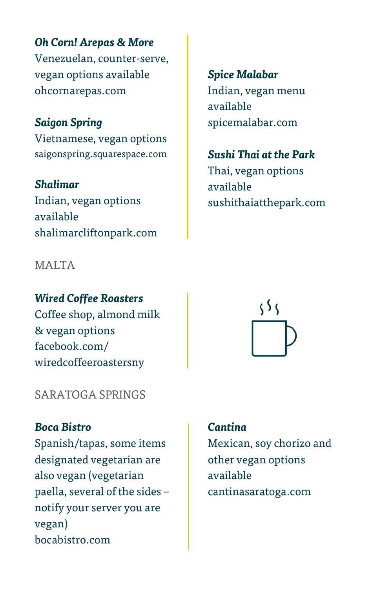*Oh Corn! Arepas & More* Venezuelan, counter-serve, vegan options available [ohcornarepas.com](https://l.facebook.com/l.php?u=http%3A%2F%2Fwww.ohcornarepas.com%2F%3Ffbclid%3DIwAR1wJj7vWaI6noqjweHSlCqCYfcJym3F70PqQbcrkk2msTg-_diZt_EnB2I&h=AT16NyvFEiM-74bgLUJqD-vBFLT0aAjq6O7kkOq3_yZXw6LlmxCc3IRa3CuI7mQmfTbaw84-0vYxvggeTTpxFtxUlTssUk4SzArBQWBJYk0B2uhZn5AVyR5WprffcwIP5BHvnZopnqDaky90diQEtMs)

*Saigon Spring* Vietnamese, vegan options [saigonspring.squarespace.com](https://l.facebook.com/l.php?u=http%3A%2F%2Fsaigonspring.squarespace.com%2F%3Ffbclid%3DIwAR37zqAWalfU4TDL7QX1hYw9FSnXbOoXBrxzqu4quKHBUjODE9kcYY4AKRE&h=AT2WcqM_LFq11HaLEgG0Va_EYBKJKW7sY510WdaMStMfhJzm3xmILdNM4DijukagZ40QnX4_Y_NPgx-EeESvaM5vZ1T7Y4OiLj5MwPWOqAnoAEdLVlGJ4u9a3dKpjSaNdoOSyGFYAhWHNpXre3N4Rxw)

*Shalimar* Indian, vegan options available [shalimarcliftonpark.com](https://l.facebook.com/l.php?u=http%3A%2F%2Fwww.shalimarcliftonpark.com%2F%3Ffbclid%3DIwAR2qaBQW9G95CfCddoTopxh7sjMpBhwJLdm27K7o7QbiJiCMmul01bTwTmY&h=AT1N1AASWGkYDBbwxLZ9wjuoMsdqyU8t2RVM_oz3NK_h5eqoqed8zOlLQHCghPrvljdiHsQ2w42Ou99Z6FSOWBuzlqIbFvEouIiN2aSS06DmvRSjUckndGbPeNbHySpKmrCjPBK7rRiGJ3_4ywKXKQ8)

MALTA<sub>N</sub>

*Wired Coffee Roasters*

Coffee shop, almond milk & vegan options facebook.com/ wiredcoffeeroastersny

SARATOGA SPRINGS

#### *Boca Bistro*

Spanish/tapas, some items designated vegetarian are also vegan (vegetarian paella, several of the sides – notify your server you are vegan) [bocabistro.com](https://l.facebook.com/l.php?u=http%3A%2F%2Fbocabistro.com%2F%3Ffbclid%3DIwAR27e5EBHgWBRIba1krzYKYH_W65OWd5xT6WvuHH0IvZupVZMFpWw3dREDU&h=AT0wWnE69InEHILak77DBw1uGTEpW1IeeI-2_UYumesVrFTPCUoQLDr2-bc3b9ZT7jwcUvc4Tq-2HWEgpD20JqFCujqItr0tb7-__4vLvXavTs98g7FC82F0f3pdHR0UviA_bPvadhB3XJ5dEhQxGmU)

*Spice Malabar* Indian, vegan menu available [spicemalabar.com](https://l.facebook.com/l.php?u=http%3A%2F%2Fwww.shalimarcliftonpark.com%2F%3Ffbclid%3DIwAR2qaBQW9G95CfCddoTopxh7sjMpBhwJLdm27K7o7QbiJiCMmul01bTwTmY&h=AT1N1AASWGkYDBbwxLZ9wjuoMsdqyU8t2RVM_oz3NK_h5eqoqed8zOlLQHCghPrvljdiHsQ2w42Ou99Z6FSOWBuzlqIbFvEouIiN2aSS06DmvRSjUckndGbPeNbHySpKmrCjPBK7rRiGJ3_4ywKXKQ8)

*Sushi Thai at the Park*

Thai, vegan options available [sushithaiatthepark.com](https://l.facebook.com/l.php?u=http%3A%2F%2Fwww.sushithaiatthepark.com%2F%3Ffbclid%3DIwAR1eM-YfIN4vwLqntVNY98QkaweQMPzHXDLLlKlacwsYxNxRrG_XHJb4Gxg&h=AT1_Tg7vxNopplS7PpGb07ojHGqIMij0tQkn095mcw8vNo51ogwQyDOuHJ2PwSm-rgilhAIqrKGtvRSNHhEYeY8inrzzihxWeQ8T8VbVd1qNp-phip_21Qw3yIRz748iqIajxc1HDWsOAZFUxEAu1bU)



#### *Cantina*

Mexican, soy chorizo and other vegan options available [cantinasaratoga.com](https://l.facebook.com/l.php?u=https%3A%2F%2Fwww.cantinasaratoga.com%2F%3Ffbclid%3DIwAR30J6i0kDiWLUe6N3f9trC8d8k5xBVdwuuH9RywmNzCx_EnK4ntaSq55ps&h=AT0t1c_tSkQAx9qozTpN0oxDSvOQnJGi6vIIxRazuXfDdJ6HQms4emRitAtGrZNqu4NJmlbBN55Uveop4vlza-SwlQ0tXiddBlQMa6F3rYHlL56KLyjTjtNELGVEZZU9EwgwQuD5-SJC7YVbyYXWgWw)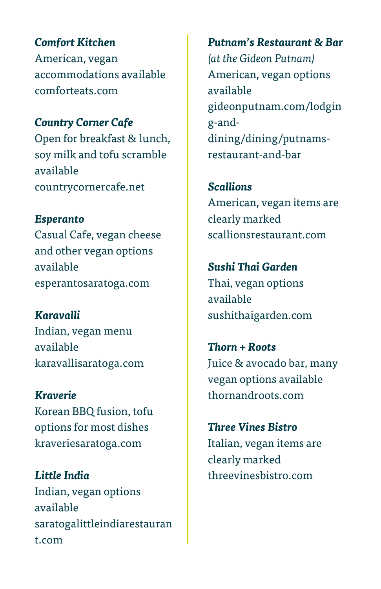*Comfort Kitchen* American, vegan accommodations available [comforteats.com](https://l.facebook.com/l.php?u=http%3A%2F%2Fcountrycornercafe.net%2F%3Ffbclid%3DIwAR3q-8kpb1AJTtuoTKeeKEVXfuhLmwLc1HDjZgVlHs5l3BjENs4SpdBHghI&h=AT1VwxVCySTcwZ_txjRnQGi22CWuw7IraUvTF_natB3nxxkg4tCl0voXzoZ9nbPrjR7aZhfvWrTYK_q7yEgb8of6spNgmJYVifmFPV_ShxTD3ZHQfn959fACKUnKD0SJl5NrfKK5ShaXXqLotFTKAieuuTI4tgmgT2Uu)

*Country Corner Cafe* Open for breakfast & lunch, soy milk and tofu scramble available [countrycornercafe.net](https://l.facebook.com/l.php?u=http%3A%2F%2Fcountrycornercafe.net%2F%3Ffbclid%3DIwAR3q-8kpb1AJTtuoTKeeKEVXfuhLmwLc1HDjZgVlHs5l3BjENs4SpdBHghI&h=AT1VwxVCySTcwZ_txjRnQGi22CWuw7IraUvTF_natB3nxxkg4tCl0voXzoZ9nbPrjR7aZhfvWrTYK_q7yEgb8of6spNgmJYVifmFPV_ShxTD3ZHQfn959fACKUnKD0SJl5NrfKK5ShaXXqLotFTKAieuuTI4tgmgT2Uu)

*Esperanto* Casual Cafe, vegan cheese and other vegan options available [esperantosaratoga.com](https://l.facebook.com/l.php?u=http%3A%2F%2Fesperantosaratoga.com%2F%3Ffbclid%3DIwAR0Y_HRJdzsplJJ_JswYDLfWmm7J6LeBR7ZIeAEko5-wpXQgMKeK_qg8BT4&h=AT00z7ksAjRpEThJPge_Yd6XCKefEgQ3ud4xSPwobSOHAhoCb5ag4Dm7dJgvdzQgWHfOFtMznhdJn1nmMvGva8a-uRHGhtHvSeivmTP0Ea0qnx8I6V6yXFXqJgMPT2dpmD-fsbGNExNgHZBmk_AOKUM)

*Karavalli* Indian, vegan menu available [karavallisaratoga.com](https://l.facebook.com/l.php?u=http%3A%2F%2Fwww.karavallisaratoga.com%2F%3Ffbclid%3DIwAR0F8Jiszzj06-2LlVIusoH8JB5U4edy5pjDiwYJoA_jn1hGc0uOXUIJACs&h=AT185yp7V_EsDinNTKRMPE2XpHPSRB3Uk9myW0mfa6lYLsyzSOTTx4ybO3qzgQUTlI5VgMUr4pyir25GFdeNB5VML3Nb6c9pxFj73skLBxJt3_VNzzY8AI-iCZc5Tonvsxk2FNaWyhE6BDPnP6sRYSU)

*Kraverie* Korean BBQ fusion, tofu options for most dishes [kraveriesaratoga.com](https://l.facebook.com/l.php?u=http%3A%2F%2Fkraveriesaratoga.com%2F%3Ffbclid%3DIwAR0T_DZuWNO6cC_BLXSp1BgUO_vFOA-6tKEqKzGVA6A1BlLQgTIqsqhQLzs&h=AT0a4wY33QvjnAGMO4qsLwKknNhyE7VMGgc7OchKznZjPgnm91KmZRofRcCjkTz39LRhDxqlIhnMZHMcd5ISMVtUhOgabJUbC6yPmutBNY6YxsYsVSm9YIdE-Q4jraSoaUqVeKKY06FRuVpjoEAUcd8)

*Little India* Indian, vegan options available [saratogalittleindiarestauran](https://l.facebook.com/l.php?u=http%3A%2F%2Fwww.saratogalittleindiarestaurant.com%2F%3Ffbclid%3DIwAR3UDji6CTO6okx-HtYnAnp-xAjw_XMzuLECyIeq3pVIiQPwSq4CgYsHRLQ&h=AT075eBpMp2MbCGsZZauulxiqJm_7vrQ35f8UYmZKRoGAh_iw4_6mBsD_7BQy4Gq_zqu7MrrjQKufP0HHPiiyh1H2KYPsN9feHt2FX5iIe7Twkf4gDcqOFTRSjfL2U6bCG84-znv5Ai6_uny3kwMqyA) [t.com](https://l.facebook.com/l.php?u=http%3A%2F%2Fwww.saratogalittleindiarestaurant.com%2F%3Ffbclid%3DIwAR3UDji6CTO6okx-HtYnAnp-xAjw_XMzuLECyIeq3pVIiQPwSq4CgYsHRLQ&h=AT075eBpMp2MbCGsZZauulxiqJm_7vrQ35f8UYmZKRoGAh_iw4_6mBsD_7BQy4Gq_zqu7MrrjQKufP0HHPiiyh1H2KYPsN9feHt2FX5iIe7Twkf4gDcqOFTRSjfL2U6bCG84-znv5Ai6_uny3kwMqyA)

*Putnam's Restaurant & Bar (at the Gideon Putnam)* American, vegan options available [gideonputnam.com/lodgin](https://l.facebook.com/l.php?u=https%3A%2F%2Fwww.gideonputnam.com%2Flodging-and-dining%2Fdining%2Fputnams-restaurant-and-bar%3Ffbclid%3DIwAR1tHTUZ2GdTjx6cQ-qkFM6-yUqkxy_d4wPDgPQmH4N7SU6_qur3Dyt-kSw&h=AT17pRSsfFC8kF4vP-1FoGMtKs7E5Zn6pmW6MAombR3et9MLXz_cG8-LGN26AjL7J6I8j7ByYsP6q0tInHGQ13eOwhM6sQPHuFQGQung6CtPeupkcHZ9Xpes0rwWnrtOjziJI3XkA9QxNjGHjWlFxms) [g-and](https://l.facebook.com/l.php?u=https%3A%2F%2Fwww.gideonputnam.com%2Flodging-and-dining%2Fdining%2Fputnams-restaurant-and-bar%3Ffbclid%3DIwAR1tHTUZ2GdTjx6cQ-qkFM6-yUqkxy_d4wPDgPQmH4N7SU6_qur3Dyt-kSw&h=AT17pRSsfFC8kF4vP-1FoGMtKs7E5Zn6pmW6MAombR3et9MLXz_cG8-LGN26AjL7J6I8j7ByYsP6q0tInHGQ13eOwhM6sQPHuFQGQung6CtPeupkcHZ9Xpes0rwWnrtOjziJI3XkA9QxNjGHjWlFxms)[dining/dining/putnams](https://l.facebook.com/l.php?u=https%3A%2F%2Fwww.gideonputnam.com%2Flodging-and-dining%2Fdining%2Fputnams-restaurant-and-bar%3Ffbclid%3DIwAR1tHTUZ2GdTjx6cQ-qkFM6-yUqkxy_d4wPDgPQmH4N7SU6_qur3Dyt-kSw&h=AT17pRSsfFC8kF4vP-1FoGMtKs7E5Zn6pmW6MAombR3et9MLXz_cG8-LGN26AjL7J6I8j7ByYsP6q0tInHGQ13eOwhM6sQPHuFQGQung6CtPeupkcHZ9Xpes0rwWnrtOjziJI3XkA9QxNjGHjWlFxms)[restaurant-and-bar](https://l.facebook.com/l.php?u=https%3A%2F%2Fwww.gideonputnam.com%2Flodging-and-dining%2Fdining%2Fputnams-restaurant-and-bar%3Ffbclid%3DIwAR1tHTUZ2GdTjx6cQ-qkFM6-yUqkxy_d4wPDgPQmH4N7SU6_qur3Dyt-kSw&h=AT17pRSsfFC8kF4vP-1FoGMtKs7E5Zn6pmW6MAombR3et9MLXz_cG8-LGN26AjL7J6I8j7ByYsP6q0tInHGQ13eOwhM6sQPHuFQGQung6CtPeupkcHZ9Xpes0rwWnrtOjziJI3XkA9QxNjGHjWlFxms)

*Scallions* American, vegan items are clearly marked [scallionsrestaurant.com](https://l.facebook.com/l.php?u=http%3A%2F%2Fwww.scallionsrestaurant.com%2F%3Ffbclid%3DIwAR0iEHBOD6l7qcXUluTi9E0t3JFX31dfEZrEImpGHk0RBGWMl_A_i9-y2nQ&h=AT3mASnPEsWeK95Y-Pcr8FLzL3OnZJQNxP8LkCgIrS7Nf9cmg5FqO54LiqqhgoZ3-zjNxlLtIgDibUsGC8v6JqI7cQlgAHfDsDSBTxYob7aiXUClGvb-tjwf0Ice4fOLWahPfALZuDQX9nGJxBfw2-o)

*Sushi Thai Garden* Thai, vegan options available [sushithaigarden.com](https://l.facebook.com/l.php?u=http%3A%2F%2Fsushithaigarden.com%2F%3Ffbclid%3DIwAR3lWm_zmymUSzKjqEXeB236e2z0te40S3rBBQEmn-hOGVVBIxiHeeaVjFk&h=AT2CXT8QFUmfeixgIfqPpxtTKly2JlEn-pPtPr_lawv3NOMiA4sej2yXm5WGIM1KdgDcYAlPzqEyxT9Exmd8iaKyXZz3rg2YbiZ0L2rQT6GGmNHYU54j2kJgwm3NvLsk2FEle74ROdi75VxStl14gs4)

*Thorn + Roots* Juice & avocado bar, many vegan options available thornandroots.com

*Three Vines Bistro* Italian, vegan items are clearly marked [threevinesbistro.com](https://l.facebook.com/l.php?u=http%3A%2F%2Fwww.threevinesbistro.com%2F%3Ffbclid%3DIwAR1Q3O2XVVlFxaSU5hvbYXyIfUbVmFxLkYaC2oKorW5xpxqnOhft9AVrJ-M&h=AT38M43VPErLDAiLc4J6l3EowE35fLdo3zz2Uoesm1YQrGCmnVZF8t290a44TwIbWAJaXnUqySg8YjN4g6akHJCz3KqliPU6DOhZ4A9dlNBGnbmoEJgQCg1tnb3kc0O5MgN3qTF6dsPGFuuQjlCRE4U)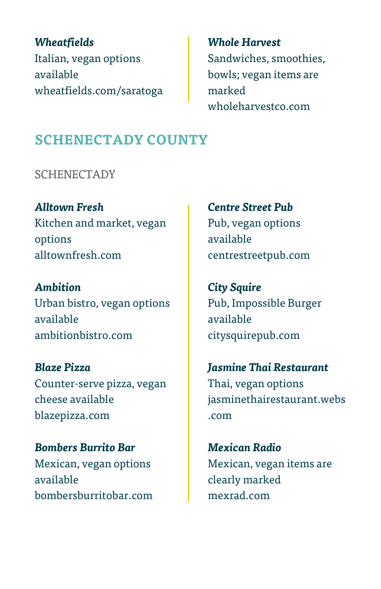## *Wheatfields* Italian, vegan options available [wheatfields.com/saratoga](https://l.facebook.com/l.php?u=http%3A%2F%2Fwheatfields.com%2Fsaratoga%3Ffbclid%3DIwAR0fBmQB2b05slihOC1Khf6Gch5AMQPlLG5ciRM_SC6KKIHl9kTjqSZjIHg&h=AT0VDp7YKcau347Od6LMKaigP-J9ZZXUKfwsYU2Ac0Ep6gslk_4C4d6q6XeDwa_y-TCizQZSlGHNbSAy_x03dcUkHCXiQ1FP7KmtS7o0hzV81aZxRuz7ZMdpt85eTtomSFaBRQrzGUEOKtxk23lKOt0)

# *Whole Harvest* Sandwiches, smoothies, bowls; vegan items are marked [wholeharvestco.com](https://l.facebook.com/l.php?u=https%3A%2F%2Fwww.wholeharvestco.com%2F%3Ffbclid%3DIwAR2GQLuWrBSDggf1mkFajJuNScQpl-rlk4f6HFTiyqh5K6SmAMiqkHxmZfE&h=AT1t31-Lzay6FxxplIy2YnmufuFRzqCmHhRV3Jpfn5wJanBoq74DH7bwrnxvUNNWQuEwJW8nkNKp275ekHo-n76isi3N7knfVRX8jo0lzfcL93oUzFBviEdSmbLRdzWtFYaTV7Vn5g4csWDCpYsIshc)

# **SCHENECTADY COUNTY**

**SCHENECTADY** 

*Alltown Fresh* Kitchen and market, vegan options alltownfresh.com

*Ambition* Urban bistro, vegan options available [ambitionbistro.com](https://l.facebook.com/l.php?u=https%3A%2F%2Fambitionbistro.com%2F%3Ffbclid%3DIwAR1oFXoTCc0M4SmIwAZQWxl4t93sllVe9x_OzTkX8pn8Zkv9l_fzf-V2vug&h=AT25Hwz9Os2-FWnkpytyuvYZfQthey7ZU7OZ8hUp8syMuxyoV-Uw9L3EnQW2VOMSQ0c8aAzYVlZjuBnl9lN5roUCuNM4PBZORMICsaWsIRK2W5zy203E_bcUTTbcQkzxO7PvvpIvmLfMyobFpYhOewo)

*Blaze Pizza* Counter-serve pizza, vegan cheese available [blazepizza.com](https://l.facebook.com/l.php?u=http%3A%2F%2Fwww.blazepizza.com%2F%3Ffbclid%3DIwAR0iRQtoiy21GMnULr6suXOlYT5JTLzSwuXjanI8eAvafDMfboadPwoFcAk&h=AT1Yp87sL9MajUo_6fgHVm4NVKYx9RJhIjVyixH4lOKGZEBpywa-rggdDcR0W0u7wZxcp8QOulpTLYPrBJun6EorYtFVuCAb6cy-yHbSkIQLuSGJJXym8klGiaO9gIwemSEgvZyo6RzLpN4BIZ_eb0o)

*Bombers Burrito Bar* Mexican, vegan options available [bombersburritobar.com](https://l.facebook.com/l.php?u=https%3A%2F%2Fwww.bombersburritobar.com%2F%3Ffbclid%3DIwAR03QXF0wIM2fo2fCDKryNnr_y_ttmcE9Vfp8Nu8tgi2wxbAgdzAbWiZD-k&h=AT26Ze1RuE5iFXjsoSQdf92DOP7cdCTc4EMCmoWn2gzWeHvfQkyOwpxY0G3LozEZssE6yIvKUziqs9RUOj5HHuo5aKp6vzqY-_IfDtI6--JefZj5v2IGjmlq3ziFP8usG0Q3_ATABGSlPMB4ZlJgepmgdeT-7lzIfrsp) *Centre Street Pub* Pub, vegan options available [centrestreetpub.com](https://l.facebook.com/l.php?u=http%3A%2F%2Fwww.centrestreetpub.com%2F%3Ffbclid%3DIwAR1mhFGaIZCCzhAfjP3V91tOarminyn7mst85ept89bjd3y9HljFV3ROOZk&h=AT1ZMOYmNfqVwwKVtCBubAAO3t6Ai3SEGZeOTTYel1gdihlqmIhlIR8F-2bM9EtZ5sIcWp2VuG7XDVuVmweneSx-NK3w0RcZFcFckvQpMpqWsQYht6ZBkpCJFPs109ZEfxInDgVirZYRLbtBPpnU5nU)

*City Squire* Pub, Impossible Burger available citysquirepub.com

*Jasmine Thai Restaurant* Thai, vegan options [jasminethairestaurant.webs](https://jasminethairestaurant.webs.com/) [.com](https://jasminethairestaurant.webs.com/)

*Mexican Radio* Mexican, vegan items are clearly marked [mexrad.com](https://mexrad.com/)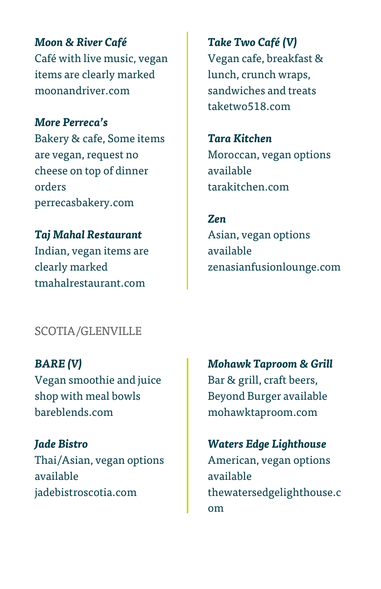*Moon & River Café* Café with live music, vegan items are clearly marked [moonandriver.com](https://l.facebook.com/l.php?u=http%3A%2F%2Fmoonandrivercafe.com%2F%3Ffbclid%3DIwAR11QRk--GUsEZ3nPXinPcLSHM1LX4RJ7Tjf5HC7_p-y-OaAimIc9XnK7WI&h=AT1dK5RR_KKTkSorUDSHVz_4n-Zqon3OCgiQTkYG6aC5O7W3KnYVxHQiAMvIGFVuE9-WQid0aGEhQIDIWNULGbo_5mNFuWxQwtEH8llM82-BTOvhifAd5p1RLnbENxJlcOih5odssRv6Biv33L42AmM)

#### *More Perreca's*

Bakery & cafe, Some items are vegan, request no cheese on top of dinner orders [perrecasbakery.com](https://l.facebook.com/l.php?u=http%3A%2F%2Fperrecasbakery.com%2F%3Ffbclid%3DIwAR2Ghw7Voo6iHbEkAwTJy1F8OaBpJrmxNsjpZc8U6JR4AMWQkzRi8CPNNv8&h=AT1Ht35sMyhpovsvdO7tEW7L7NtowW10OfpGyHeliAbxl1UJ8RvwDj85FYb-NveqcO_IU8N4pgsJCZ5JVSTyGXwVmkVfpA43BQL201Q0vASuMAqzqITyaoMm1gfi83Yxd2hgn3i_JnfBwwr1QcKF1ao)

*Taj Mahal Restaurant* Indian, vegan items are clearly marked [tmahalrestaurant.com](https://l.facebook.com/l.php?u=http%3A%2F%2Fwww.tmahalrestaurant.com%2F%3Ffbclid%3DIwAR3mPfGQSH6XVPZSsoWzXOPQ3-nn7uTZDt-n7qW5QKm1JGP2gsi9kcGHZLA&h=AT2WtSJMADyjyrIo6XbyOaHF-RsWm9tmPzcJ0UVgVh-bnd0qwN5q5YnEdE8Dt4ML9RctROi0sPmn-655IHaJOFP6Z0EJa_di-o_owxJmJ12esfUqoSn8q16ANbcvCvXJgfAvGqyI5SLhk6MHo6n6-XQ)

*Take Two Café (V)* Vegan cafe, breakfast & lunch, crunch wraps, sandwiches and treats taketwo518.com

*Tara Kitchen* Moroccan, vegan options available [tarakitchen.com](https://l.facebook.com/l.php?u=http%3A%2F%2Fwww.tarakitchen.com%2F%3Ffbclid%3DIwAR0wgGqv0yTJeBsQESg24CTZ1lIJ0a-4-1UulTZu64uQS8AxOhvQRaX2MPc&h=AT3fjimSfE4fykm2gRSnzKi0r1RlRpHHKZTfYKW9qpxkT1EIB6Tj0lcqqxXFRmDf43okIrAcYVxEdnZTL-R2rN3iD6E6DQyijS83DochDi6K3sdfmM7FpfS2Pk9gZAOf-BQGFjc7bKsAGHsHP37juyM)

*Zen* Asian, vegan options available [zenasianfusionlounge.com](https://l.facebook.com/l.php?u=http%3A%2F%2Fwww.zenasianfusionlounge.com%2F%3Ffbclid%3DIwAR3otiVdQzhNVJ2P1LX1y-p5J4xo0qtlOfx8kW5EOeiFg0DeOzsFfCWHOLc&h=AT2GU3sYLjURr9FRvKTyypwEs-yCFMFmVVlA4zEy0qmwILScM0kpKSrtgqKh26o2QA6rjbe2exaWETOZVaAHtX46kzlsA4CSvn662DrLwti1taESFRd_DfkUPOGtg_1rstz_MN268GBwSCvn5l0kJ4Y)

### SCOTIA/GLENVILLE

*BARE (V)* Vegan smoothie and juice shop with meal bowls [bareblends.com](https://bareblends.com/)

*Jade Bistro* Thai/Asian, vegan options available [jadebistroscotia.com](http://www.jadebistroscotia.com/?fbclid=IwAR0E0gGjbUMmkRwDLO5-PsxKrKSelLKHwc6tQ_3atP6RZQ7dsCOPUqNG1mQ)

*Mohawk Taproom & Grill* Bar & grill, craft beers, Beyond Burger available [mohawktaproom.com](https://l.facebook.com/l.php?u=http%3A%2F%2Fwww.mohawktaproom.com%2F%3Ffbclid%3DIwAR2Wz5lICp1jhH-n4BFTqqOhvq_sqEkOAgnaSeHORFbJzTZjp8YkeT6KXuk&h=AT1QeBKNjDugN1Lfe-Dsch1ymJxBWs0qdOMp150ccRYiAuOfmXEJYLtQICCU25vG4xjJfn-JgLYoNg_yRAz0ZYrhf56Hv2UJJ7nxfl6N6TwjjZaICVQqfiZKNcJPy2Uzo_Rcgy6n5GUSWMm6LvlaHH8)

*Waters Edge Lighthouse* American, vegan options available [thewatersedgelighthouse.c](https://l.facebook.com/l.php?u=http%3A%2F%2Fwww.thewatersedgelighthouse.com%2F%3Ffbclid%3DIwAR0AZdd1H7qCHUBimAUcED2OekxA4k4o_l6mJuZVaL4JQauDuuYNSgkN0SY&h=AT1d0PpP-s98cW5MaPTci0cwyE175p9q1mZXwBM4StM0Jq-mclLfUwmGCOXL-aq1MkRGpMxSDIyLy3nakvXp22XIrW16pt4g3lUHayjVHJurmxMGdUHX8wwRwR13GBG-_W1nWBNMhApCREzZv4KUwmA) [om](https://l.facebook.com/l.php?u=http%3A%2F%2Fwww.thewatersedgelighthouse.com%2F%3Ffbclid%3DIwAR0AZdd1H7qCHUBimAUcED2OekxA4k4o_l6mJuZVaL4JQauDuuYNSgkN0SY&h=AT1d0PpP-s98cW5MaPTci0cwyE175p9q1mZXwBM4StM0Jq-mclLfUwmGCOXL-aq1MkRGpMxSDIyLy3nakvXp22XIrW16pt4g3lUHayjVHJurmxMGdUHX8wwRwR13GBG-_W1nWBNMhApCREzZv4KUwmA)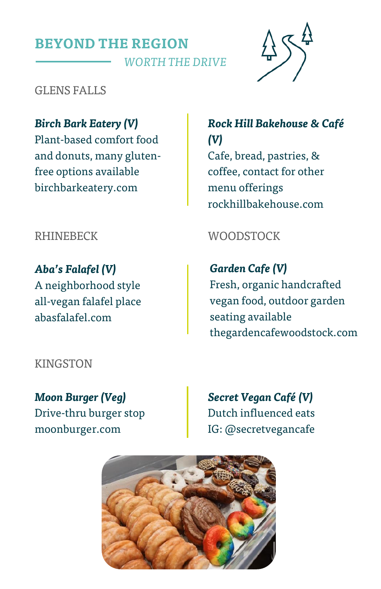# **BEYOND THE REGION**   *WORTH THE DRIVE*



GLENS FALLS

*Birch Bark Eatery (V)* Plant-based comfort food and donuts, many glutenfree options available [birchbarkeatery.com](https://l.facebook.com/l.php?u=http%3A%2F%2Fwww.thewatersedgelighthouse.com%2F%3Ffbclid%3DIwAR0AZdd1H7qCHUBimAUcED2OekxA4k4o_l6mJuZVaL4JQauDuuYNSgkN0SY&h=AT1d0PpP-s98cW5MaPTci0cwyE175p9q1mZXwBM4StM0Jq-mclLfUwmGCOXL-aq1MkRGpMxSDIyLy3nakvXp22XIrW16pt4g3lUHayjVHJurmxMGdUHX8wwRwR13GBG-_W1nWBNMhApCREzZv4KUwmA)

*Aba's Falafel (V)* A neighborhood style all-vegan falafel place abasfalafel.com

#### KINGSTON

*Moon Burger (Veg)*  Drive-thru burger stop moonburger.com

*Rock Hill Bakehouse & Café (V)* Cafe, bread, pastries, & coffee, contact for other menu offerings [rockhillbakehouse.com](https://l.facebook.com/l.php?u=http%3A%2F%2Fwww.thewatersedgelighthouse.com%2F%3Ffbclid%3DIwAR0AZdd1H7qCHUBimAUcED2OekxA4k4o_l6mJuZVaL4JQauDuuYNSgkN0SY&h=AT1d0PpP-s98cW5MaPTci0cwyE175p9q1mZXwBM4StM0Jq-mclLfUwmGCOXL-aq1MkRGpMxSDIyLy3nakvXp22XIrW16pt4g3lUHayjVHJurmxMGdUHX8wwRwR13GBG-_W1nWBNMhApCREzZv4KUwmA)

## RHINEBECK WOODSTOCK

*Garden Cafe (V)* Fresh, organic handcrafted vegan food, outdoor garden seating available thegardencafewoodstock.com

*Secret Vegan Café (V)*  Dutch influenced eats IG: @secretvegancafe

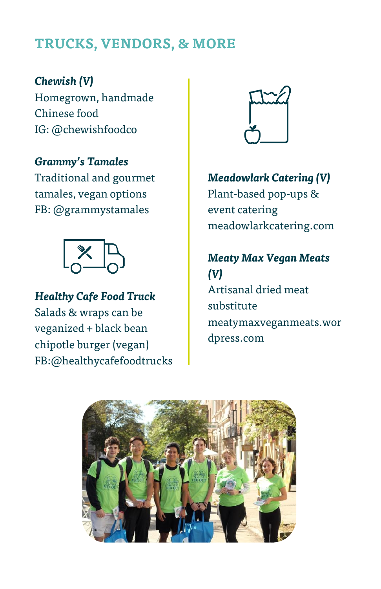# **TRUCKS, VENDORS, & MORE**

*Chewish (V)* Homegrown, handmade Chinese food IG: @chewishfoodco

*Grammy's Tamales* Traditional and gourmet tamales, vegan options FB: @grammystamales



*Healthy Cafe Food Truck* Salads & wraps can be veganized + black bean chipotle burger (vegan) FB:@healthycafefoodtrucks



*Meadowlark Catering (V)* Plant-based pop-ups & event catering meadowlarkcatering.com

*Meaty Max Vegan Meats (V)* Artisanal dried meat substitute meatymaxveganmeats.wor dpress.com

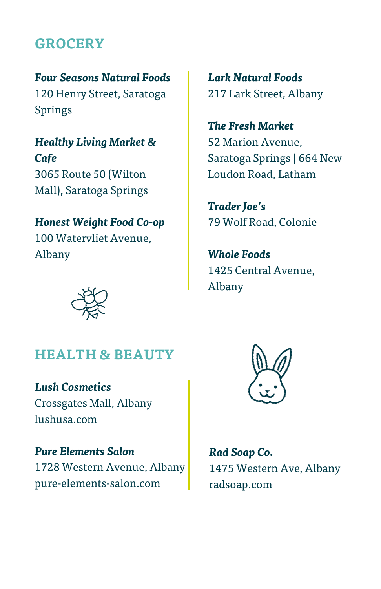# **GROCERY**

*Four Seasons Natural Foods* 120 Henry Street, Saratoga Springs

*Healthy Living Market & Cafe* 3065 Route 50 (Wilton Mall), Saratoga Springs

*Honest Weight Food Co-op* 100 Watervliet Avenue, Albany

*Lark Natural Foods* 217 Lark Street, Albany

*The Fresh Market* 52 Marion Avenue, Saratoga Springs | 664 New Loudon Road, Latham

*Trader Joe's* 79 Wolf Road, Colonie

*Whole Foods* 1425 Central Avenue, Albany



## **HEALTH & BEAUTY**

*Lush Cosmetics* Crossgates Mall, Albany lushusa.com

*Pure Elements Salon* 1728 Western Avenue, Albany pure-elements-salon.com



*Rad Soap Co.* 1475 Western Ave, Albany radsoap.com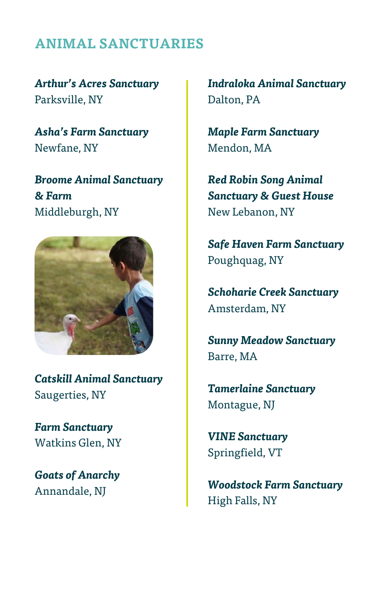# **ANIMAL SANCTUARIES**

*Arthur's Acres Sanctuary* Parksville, NY

*Asha's Farm Sanctuary*  Newfane, NY

*Broome Animal Sanctuary & Farm*  Middleburgh, NY



*Catskill Animal Sanctuary*  Saugerties, NY

*Farm Sanctuary*  Watkins Glen, NY

*Goats of Anarchy*  Annandale, NJ

*Indraloka Animal Sanctuary* Dalton, PA

*Maple Farm Sanctuary*  Mendon, MA

*Red Robin Song Animal Sanctuary & Guest House* New Lebanon, NY

*Safe Haven Farm Sanctuary*  Poughquag, NY

*Schoharie Creek Sanctuary* Amsterdam, NY

*Sunny Meadow Sanctuary*  Barre, MA

*Tamerlaine Sanctuary*  Montague, NJ

*VINE Sanctuary* Springfield, VT

*Woodstock Farm Sanctuary*  High Falls, NY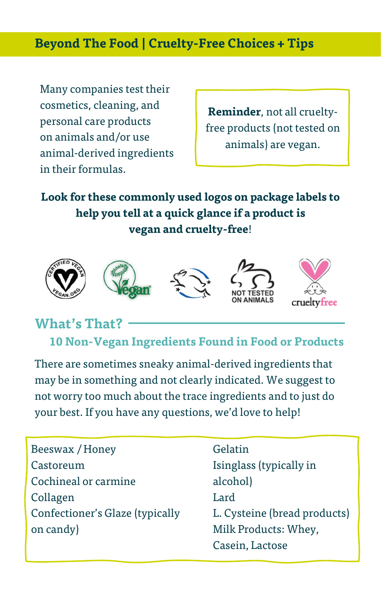## **Beyond The Food | Cruelty-Free Choices + Tips**

Many companies test their cosmetics, cleaning, and personal care products on animals and/or use animal-derived ingredients in their formulas.

**Reminder**, not all crueltyfree products (not tested on animals) are vegan.

**Look for these commonly used logos on package labels to help you tell at a quick glance if a product is vegan and cruelty-free**!



# **What's That?**

 **10 Non-Vegan Ingredients Found in Food or Products** 

There are sometimes sneaky animal-derived ingredients that may be in something and not clearly indicated. We suggest to not worry too much about the trace ingredients and to just do your best. If you have any questions, we'd love to help!

| Beeswax / Honey                 |
|---------------------------------|
| Castoreum                       |
| Cochineal or carmine            |
| Collagen                        |
| Confectioner's Glaze (typically |
| on candy)                       |
|                                 |

Gelatin Isinglass (typically in alcohol) Lard L. Cysteine (bread products) Milk Products: Whey, Casein, Lactose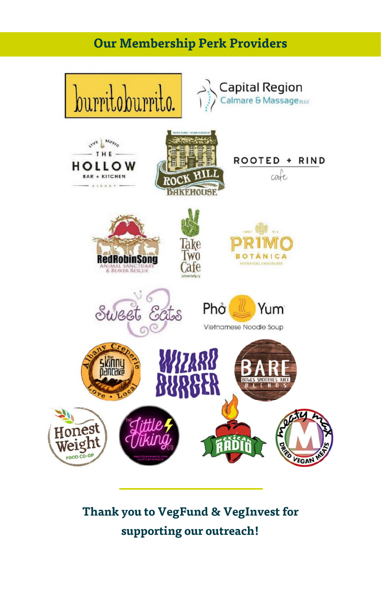# **Our Membership Perk Providers**



# **Thank you to VegFund & VegInvest for supporting our outreach!**